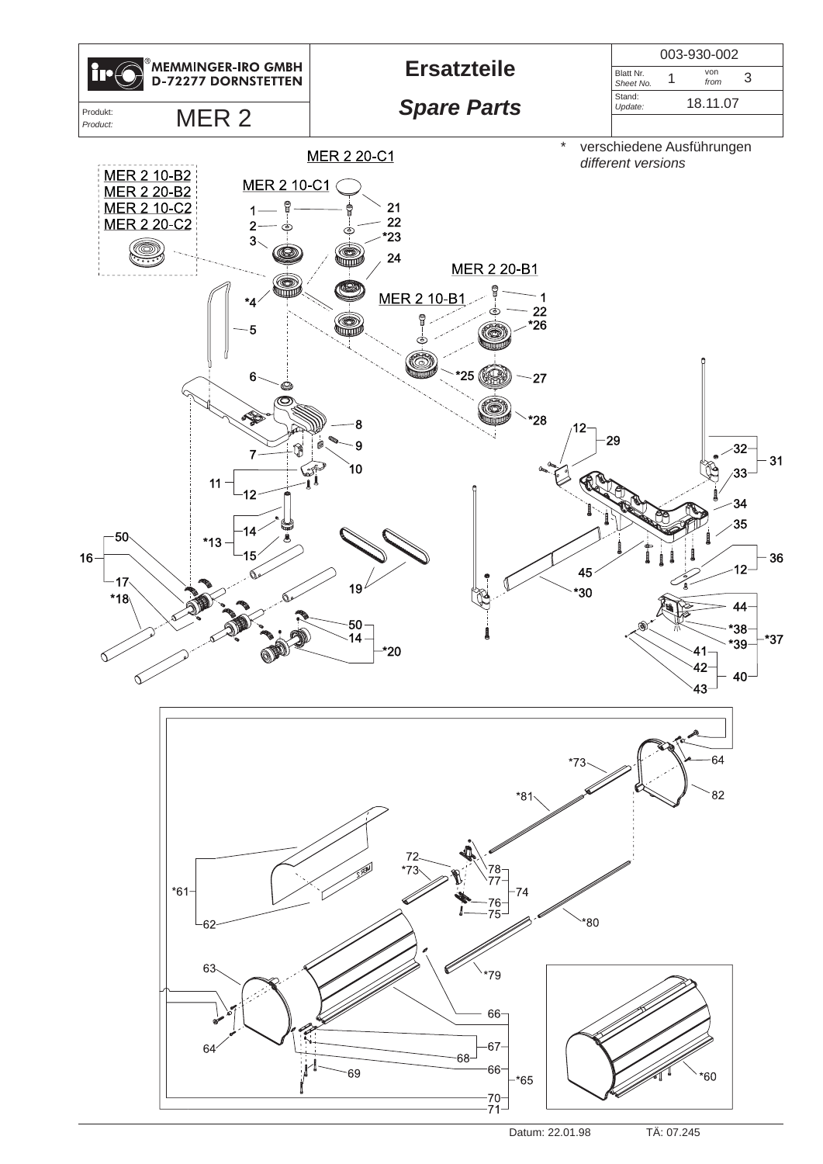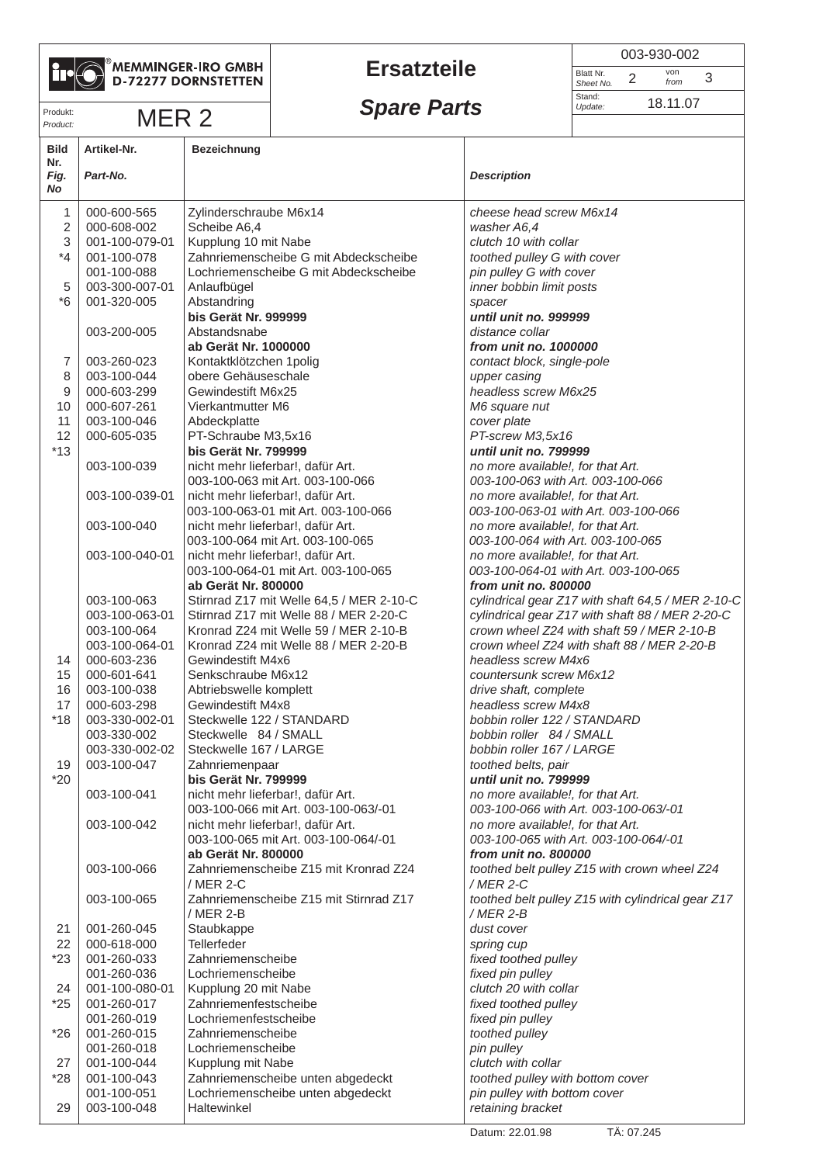

*Product:*

## $^\circ$ MEMMINGER-IRO GMBH<br>D-72277 DORNSTETTEN

## **Ersatzteile**

|                        | 003-930-002 |             |   |  |  |
|------------------------|-------------|-------------|---|--|--|
| Blatt Nr.<br>Sheet No. | 2           | von<br>from | 3 |  |  |
| Stand:<br>Update:      |             | 18.11.07    |   |  |  |

## Produkt:<br>*Produkt:* **MER 2 Spare Parts** MER 2 **18.11.07**

| <b>Bild</b>       | Artikel-Nr.                   | <b>Bezeichnung</b>                                                        |                                                                            |
|-------------------|-------------------------------|---------------------------------------------------------------------------|----------------------------------------------------------------------------|
| Nr.<br>Fig.<br>No | Part-No.                      |                                                                           | <b>Description</b>                                                         |
| 1                 | 000-600-565                   | Zylinderschraube M6x14                                                    | cheese head screw M6x14                                                    |
| $\overline{2}$    | 000-608-002                   | Scheibe A6,4                                                              | washer A6,4                                                                |
| $\sqrt{3}$        | 001-100-079-01                | Kupplung 10 mit Nabe                                                      | clutch 10 with collar                                                      |
| $*_{4}$           | 001-100-078                   | Zahnriemenscheibe G mit Abdeckscheibe                                     | toothed pulley G with cover                                                |
|                   | 001-100-088                   | Lochriemenscheibe G mit Abdeckscheibe                                     | pin pulley G with cover                                                    |
| 5                 | 003-300-007-01                | Anlaufbügel                                                               | inner bobbin limit posts                                                   |
| $*6$              | 001-320-005                   | Abstandring                                                               | spacer<br>until unit no. 999999                                            |
|                   | 003-200-005                   | bis Gerät Nr. 999999<br>Abstandsnabe                                      | distance collar                                                            |
|                   |                               | ab Gerät Nr. 1000000                                                      | from unit no. 1000000                                                      |
| 7                 | 003-260-023                   | Kontaktklötzchen 1 polig                                                  | contact block, single-pole                                                 |
| 8                 | 003-100-044                   | obere Gehäuseschale                                                       | upper casing                                                               |
| 9                 | 000-603-299                   | Gewindestift M6x25                                                        | headless screw M6x25                                                       |
| 10                | 000-607-261                   | Vierkantmutter M6                                                         | M6 square nut                                                              |
| 11                | 003-100-046                   | Abdeckplatte                                                              | cover plate                                                                |
| 12                | 000-605-035                   | PT-Schraube M3,5x16                                                       | PT-screw M3,5x16                                                           |
| $*13$             |                               | bis Gerät Nr. 799999                                                      | until unit no. 799999                                                      |
|                   | 003-100-039                   | nicht mehr lieferbar!, dafür Art.                                         | no more available!, for that Art.                                          |
|                   |                               | 003-100-063 mit Art. 003-100-066                                          | 003-100-063 with Art. 003-100-066                                          |
|                   | 003-100-039-01                | nicht mehr lieferbar!, dafür Art.<br>003-100-063-01 mit Art. 003-100-066  | no more available!, for that Art.<br>003-100-063-01 with Art. 003-100-066  |
|                   | 003-100-040                   | nicht mehr lieferbar!, dafür Art.                                         | no more available!, for that Art.                                          |
|                   |                               | 003-100-064 mit Art. 003-100-065                                          | 003-100-064 with Art. 003-100-065                                          |
|                   | 003-100-040-01                | nicht mehr lieferbar!, dafür Art.                                         | no more available!, for that Art.                                          |
|                   |                               | 003-100-064-01 mit Art. 003-100-065                                       | 003-100-064-01 with Art. 003-100-065                                       |
|                   |                               | ab Gerät Nr. 800000                                                       | from unit no. 800000                                                       |
|                   | 003-100-063                   | Stirnrad Z17 mit Welle 64,5 / MER 2-10-C                                  | cylindrical gear Z17 with shaft 64,5 / MER 2-10-C                          |
|                   | 003-100-063-01                | Stirnrad Z17 mit Welle 88 / MER 2-20-C                                    | cylindrical gear Z17 with shaft 88 / MER 2-20-C                            |
|                   | 003-100-064                   | Kronrad Z24 mit Welle 59 / MER 2-10-B                                     | crown wheel Z24 with shaft 59 / MER 2-10-B                                 |
|                   | 003-100-064-01                | Kronrad Z24 mit Welle 88 / MER 2-20-B                                     | crown wheel Z24 with shaft 88 / MER 2-20-B                                 |
| 14<br>15          | 000-603-236<br>000-601-641    | Gewindestift M4x6<br>Senkschraube M6x12                                   | headless screw M4x6<br>countersunk screw M6x12                             |
| 16                | 003-100-038                   | Abtriebswelle komplett                                                    | drive shaft, complete                                                      |
| 17                | 000-603-298                   | Gewindestift M4x8                                                         | headless screw M4x8                                                        |
| $*18$             | 003-330-002-01                | Steckwelle 122 / STANDARD                                                 | bobbin roller 122 / STANDARD                                               |
|                   | 003-330-002                   | Steckwelle 84 / SMALL                                                     | bobbin roller 84 / SMALL                                                   |
|                   | 003-330-002-02                | Steckwelle 167 / LARGE                                                    | bobbin roller 167 / LARGE                                                  |
| 19                | 003-100-047                   | Zahnriemenpaar                                                            | toothed belts, pair                                                        |
| $*20$             |                               | bis Gerät Nr. 799999                                                      | until unit no. 799999                                                      |
|                   | 003-100-041                   | nicht mehr lieferbar!, dafür Art.                                         | no more available!, for that Art.                                          |
|                   |                               | 003-100-066 mit Art. 003-100-063/-01                                      | 003-100-066 with Art. 003-100-063/-01                                      |
|                   | 003-100-042                   | nicht mehr lieferbar!, dafür Art.<br>003-100-065 mit Art. 003-100-064/-01 | no more available!, for that Art.<br>003-100-065 with Art. 003-100-064/-01 |
|                   |                               | ab Gerät Nr. 800000                                                       | from unit no. 800000                                                       |
|                   | 003-100-066                   | Zahnriemenscheibe Z15 mit Kronrad Z24                                     | toothed belt pulley Z15 with crown wheel Z24                               |
|                   |                               | / MER 2-C                                                                 | /MER 2-C                                                                   |
|                   | 003-100-065                   | Zahnriemenscheibe Z15 mit Stirnrad Z17                                    | toothed belt pulley Z15 with cylindrical gear Z17                          |
|                   |                               | / MER 2-B                                                                 | $/$ MER 2-B                                                                |
| 21                | 001-260-045                   | Staubkappe                                                                | dust cover                                                                 |
| 22                | 000-618-000                   | Tellerfeder                                                               | spring cup                                                                 |
| $*23$             | 001-260-033                   | Zahnriemenscheibe                                                         | fixed toothed pulley                                                       |
|                   | 001-260-036                   | Lochriemenscheibe                                                         | fixed pin pulley                                                           |
| 24<br>$*25$       | 001-100-080-01<br>001-260-017 | Kupplung 20 mit Nabe<br>Zahnriemenfestscheibe                             | clutch 20 with collar<br>fixed toothed pulley                              |
|                   | 001-260-019                   | Lochriemenfestscheibe                                                     | fixed pin pulley                                                           |
| $*26$             | 001-260-015                   | Zahnriemenscheibe                                                         | toothed pulley                                                             |
|                   | 001-260-018                   | Lochriemenscheibe                                                         | pin pulley                                                                 |
| 27                | 001-100-044                   | Kupplung mit Nabe                                                         | clutch with collar                                                         |
| $*28$             | 001-100-043                   | Zahnriemenscheibe unten abgedeckt                                         | toothed pulley with bottom cover                                           |
|                   | 001-100-051                   | Lochriemenscheibe unten abgedeckt                                         | pin pulley with bottom cover                                               |
| 29                | 003-100-048                   | Haltewinkel                                                               | retaining bracket                                                          |
|                   |                               |                                                                           |                                                                            |